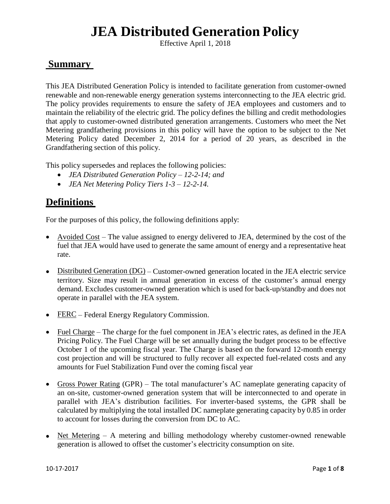Effective April 1, 2018

### **Summary**

This JEA Distributed Generation Policy is intended to facilitate generation from customer-owned renewable and non-renewable energy generation systems interconnecting to the JEA electric grid. The policy provides requirements to ensure the safety of JEA employees and customers and to maintain the reliability of the electric grid. The policy defines the billing and credit methodologies that apply to customer-owned distributed generation arrangements. Customers who meet the Net Metering grandfathering provisions in this policy will have the option to be subject to the Net Metering Policy dated December 2, 2014 for a period of 20 years, as described in the Grandfathering section of this policy.

This policy supersedes and replaces the following policies:

- *JEA Distributed Generation Policy – 12-2-14; and*
- *JEA Net Metering Policy Tiers 1-3 – 12-2-14.*

## **Definitions**

For the purposes of this policy, the following definitions apply:

- Avoided Cost The value assigned to energy delivered to JEA, determined by the cost of the fuel that JEA would have used to generate the same amount of energy and a representative heat rate.
- Distributed Generation (DG) Customer-owned generation located in the JEA electric service territory. Size may result in annual generation in excess of the customer's annual energy demand. Excludes customer-owned generation which is used for back-up/standby and does not operate in parallel with the JEA system.
- FERC Federal Energy Regulatory Commission.
- Fuel Charge The charge for the fuel component in JEA's electric rates, as defined in the JEA Pricing Policy. The Fuel Charge will be set annually during the budget process to be effective October 1 of the upcoming fiscal year. The Charge is based on the forward 12-month energy cost projection and will be structured to fully recover all expected fuel-related costs and any amounts for Fuel Stabilization Fund over the coming fiscal year
- Gross Power Rating (GPR) The total manufacturer's AC nameplate generating capacity of an on-site, customer-owned generation system that will be interconnected to and operate in parallel with JEA's distribution facilities. For inverter-based systems, the GPR shall be calculated by multiplying the total installed DC nameplate generating capacity by 0.85 in order to account for losses during the conversion from DC to AC.
- Net Metering A metering and billing methodology whereby customer-owned renewable generation is allowed to offset the customer's electricity consumption on site.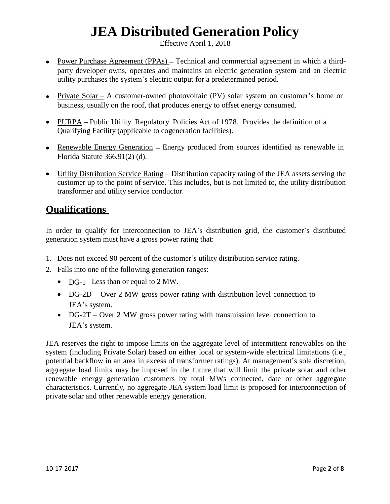Effective April 1, 2018

- Power Purchase Agreement (PPAs) Technical and commercial agreement in which a thirdparty developer owns, operates and maintains an electric generation system and an electric utility purchases the system's electric output for a predetermined period.
- Private Solar A customer-owned photovoltaic (PV) solar system on customer's home or business, usually on the roof, that produces energy to offset energy consumed.
- PURPA Public Utility Regulatory Policies Act of 1978. Provides the definition of a Qualifying Facility (applicable to cogeneration facilities).
- Renewable Energy Generation Energy produced from sources identified as renewable in Florida Statute 366.91(2) (d).
- Utility Distribution Service Rating Distribution capacity rating of the JEA assets serving the customer up to the point of service. This includes, but is not limited to, the utility distribution transformer and utility service conductor.

### **Qualifications**

In order to qualify for interconnection to JEA's distribution grid, the customer's distributed generation system must have a gross power rating that:

- 1. Does not exceed 90 percent of the customer's utility distribution service rating.
- 2. Falls into one of the following generation ranges:
	- DG-1– Less than or equal to 2 MW.
	- DG-2D Over 2 MW gross power rating with distribution level connection to JEA's system.
	- DG-2T Over 2 MW gross power rating with transmission level connection to JEA's system.

JEA reserves the right to impose limits on the aggregate level of intermittent renewables on the system (including Private Solar) based on either local or system-wide electrical limitations (i.e., potential backflow in an area in excess of transformer ratings). At management's sole discretion, aggregate load limits may be imposed in the future that will limit the private solar and other renewable energy generation customers by total MWs connected, date or other aggregate characteristics. Currently, no aggregate JEA system load limit is proposed for interconnection of private solar and other renewable energy generation.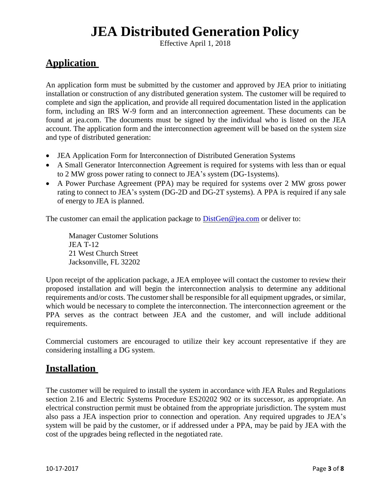Effective April 1, 2018

## **Application**

An application form must be submitted by the customer and approved by JEA prior to initiating installation or construction of any distributed generation system. The customer will be required to complete and sign the application, and provide all required documentation listed in the application form, including an IRS W-9 form and an interconnection agreement. These documents can be found at jea.com. The documents must be signed by the individual who is listed on the JEA account. The application form and the interconnection agreement will be based on the system size and type of distributed generation:

- JEA Application Form for Interconnection of Distributed Generation Systems
- A Small Generator Interconnection Agreement is required for systems with less than or equal to 2 MW gross power rating to connect to JEA's system (DG-1systems).
- A Power Purchase Agreement (PPA) may be required for systems over 2 MW gross power rating to connect to JEA's system (DG-2D and DG-2T systems). A PPA is required if any sale of energy to JEA is planned.

The customer can email the application package to **DistGen@jea.com** or deliver to:

Manager Customer Solutions JEA T-12 21 West Church Street Jacksonville, FL 32202

Upon receipt of the application package, a JEA employee will contact the customer to review their proposed installation and will begin the interconnection analysis to determine any additional requirements and/or costs. The customer shall be responsible for all equipment upgrades, or similar, which would be necessary to complete the interconnection. The interconnection agreement or the PPA serves as the contract between JEA and the customer, and will include additional requirements.

Commercial customers are encouraged to utilize their key account representative if they are considering installing a DG system.

## **Installation**

The customer will be required to install the system in accordance with JEA Rules and Regulations section 2.16 and Electric Systems Procedure ES20202 902 or its successor, as appropriate. An electrical construction permit must be obtained from the appropriate jurisdiction. The system must also pass a JEA inspection prior to connection and operation. Any required upgrades to JEA's system will be paid by the customer, or if addressed under a PPA, may be paid by JEA with the cost of the upgrades being reflected in the negotiated rate.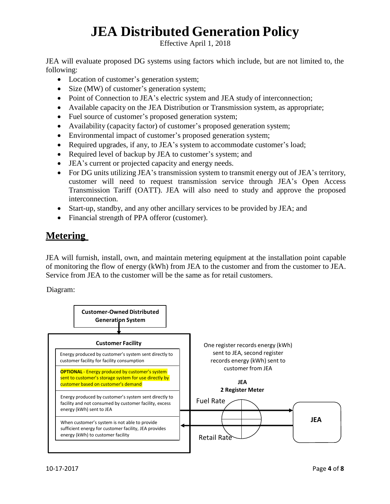Effective April 1, 2018

JEA will evaluate proposed DG systems using factors which include, but are not limited to, the following:

- Location of customer's generation system;
- Size (MW) of customer's generation system;
- Point of Connection to JEA's electric system and JEA study of interconnection;
- Available capacity on the JEA Distribution or Transmission system, as appropriate;
- Fuel source of customer's proposed generation system;
- Availability (capacity factor) of customer's proposed generation system;
- Environmental impact of customer's proposed generation system;
- Required upgrades, if any, to JEA's system to accommodate customer's load;
- Required level of backup by JEA to customer's system; and
- JEA's current or projected capacity and energy needs.
- For DG units utilizing JEA's transmission system to transmit energy out of JEA's territory, customer will need to request transmission service through JEA's Open Access Transmission Tariff (OATT). JEA will also need to study and approve the proposed interconnection.
- Start-up, standby, and any other ancillary services to be provided by JEA; and
- Financial strength of PPA offeror (customer).

## **Metering**

JEA will furnish, install, own, and maintain metering equipment at the installation point capable of monitoring the flow of energy (kWh) from JEA to the customer and from the customer to JEA. Service from JEA to the customer will be the same as for retail customers.

Diagram:

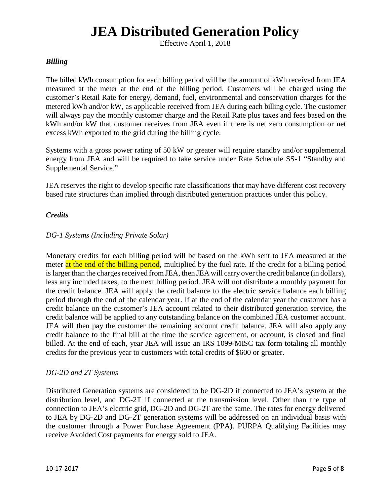Effective April 1, 2018

#### *Billing*

The billed kWh consumption for each billing period will be the amount of kWh received from JEA measured at the meter at the end of the billing period. Customers will be charged using the customer's Retail Rate for energy, demand, fuel, environmental and conservation charges for the metered kWh and/or kW, as applicable received from JEA during each billing cycle. The customer will always pay the monthly customer charge and the Retail Rate plus taxes and fees based on the kWh and/or kW that customer receives from JEA even if there is net zero consumption or net excess kWh exported to the grid during the billing cycle.

Systems with a gross power rating of 50 kW or greater will require standby and/or supplemental energy from JEA and will be required to take service under Rate Schedule SS-1 "Standby and Supplemental Service."

JEA reserves the right to develop specific rate classifications that may have different cost recovery based rate structures than implied through distributed generation practices under this policy.

#### *Credits*

#### *DG-1 Systems (Including Private Solar)*

Monetary credits for each billing period will be based on the kWh sent to JEA measured at the meter at the end of the billing period, multiplied by the fuel rate. If the credit for a billing period is larger than the charges received from JEA, then JEA will carry over the credit balance (in dollars), less any included taxes, to the next billing period. JEA will not distribute a monthly payment for the credit balance. JEA will apply the credit balance to the electric service balance each billing period through the end of the calendar year. If at the end of the calendar year the customer has a credit balance on the customer's JEA account related to their distributed generation service, the credit balance will be applied to any outstanding balance on the combined JEA customer account. JEA will then pay the customer the remaining account credit balance. JEA will also apply any credit balance to the final bill at the time the service agreement, or account, is closed and final billed. At the end of each, year JEA will issue an IRS 1099-MISC tax form totaling all monthly credits for the previous year to customers with total credits of \$600 or greater.

#### *DG-2D and 2T Systems*

Distributed Generation systems are considered to be DG-2D if connected to JEA's system at the distribution level, and DG-2T if connected at the transmission level. Other than the type of connection to JEA's electric grid, DG-2D and DG-2T are the same. The rates for energy delivered to JEA by DG-2D and DG-2T generation systems will be addressed on an individual basis with the customer through a Power Purchase Agreement (PPA). PURPA Qualifying Facilities may receive Avoided Cost payments for energy sold to JEA.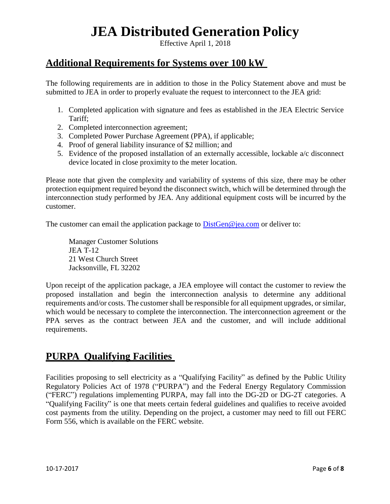Effective April 1, 2018

### **Additional Requirements for Systems over 100 kW**

The following requirements are in addition to those in the Policy Statement above and must be submitted to JEA in order to properly evaluate the request to interconnect to the JEA grid:

- 1. Completed application with signature and fees as established in the JEA Electric Service Tariff;
- 2. Completed interconnection agreement;
- 3. Completed Power Purchase Agreement (PPA), if applicable;
- 4. Proof of general liability insurance of \$2 million; and
- 5. Evidence of the proposed installation of an externally accessible, lockable a/c disconnect device located in close proximity to the meter location.

Please note that given the complexity and variability of systems of this size, there may be other protection equipment required beyond the disconnect switch, which will be determined through the interconnection study performed by JEA. Any additional equipment costs will be incurred by the customer.

The customer can email the application package to [DistGen@jea.com](mailto:DistGen@jea.com) or deliver to:

Manager Customer Solutions JEA T-12 21 West Church Street Jacksonville, FL 32202

Upon receipt of the application package, a JEA employee will contact the customer to review the proposed installation and begin the interconnection analysis to determine any additional requirements and/or costs. The customer shall be responsible for all equipment upgrades, or similar, which would be necessary to complete the interconnection. The interconnection agreement or the PPA serves as the contract between JEA and the customer, and will include additional requirements.

### **PURPA Qualifying Facilities**

Facilities proposing to sell electricity as a "Qualifying Facility" as defined by the Public Utility Regulatory Policies Act of 1978 ("PURPA") and the Federal Energy Regulatory Commission ("FERC") regulations implementing PURPA, may fall into the DG-2D or DG-2T categories. A "Qualifying Facility" is one that meets certain federal guidelines and qualifies to receive avoided cost payments from the utility. Depending on the project, a customer may need to fill out FERC Form 556, which is available on the FERC website.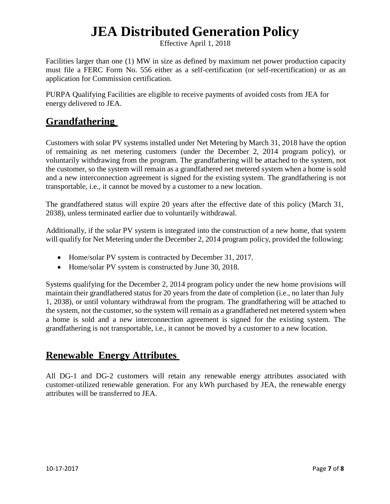Effective April 1, 2018

Facilities larger than one (1) MW in size as defined by maximum net power production capacity must file a FERC Form No. 556 either as a self-certification (or self-recertification) or as an application for Commission certification.

PURPA Qualifying Facilities are eligible to receive payments of avoided costs from JEA for energy delivered to JEA.

### **Grandfathering**

Customers with solar PV systems installed under Net Metering by March 31, 2018 have the option of remaining as net metering customers (under the December 2, 2014 program policy), or voluntarily withdrawing from the program. The grandfathering will be attached to the system, not the customer, so the system will remain as a grandfathered net metered system when a home is sold and a new interconnection agreement is signed for the existing system. The grandfathering is not transportable, i.e., it cannot be moved by a customer to a new location.

The grandfathered status will expire 20 years after the effective date of this policy (March 31, 2038), unless terminated earlier due to voluntarily withdrawal.

Additionally, if the solar PV system is integrated into the construction of a new home, that system will qualify for Net Metering under the December 2, 2014 program policy, provided the following:

- Home/solar PV system is contracted by December 31, 2017.
- Home/solar PV system is constructed by June 30, 2018.

Systems qualifying for the December 2, 2014 program policy under the new home provisions will maintain their grandfathered status for 20 years from the date of completion (i.e., no later than July 1, 2038), or until voluntary withdrawal from the program. The grandfathering will be attached to the system, not the customer, so the system will remain as a grandfathered net metered system when a home is sold and a new interconnection agreement is signed for the existing system. The grandfathering is not transportable, i.e., it cannot be moved by a customer to a new location.

## **Renewable Energy Attributes**

All DG-1 and DG-2 customers will retain any renewable energy attributes associated with customer-utilized renewable generation. For any kWh purchased by JEA, the renewable energy attributes will be transferred to JEA.